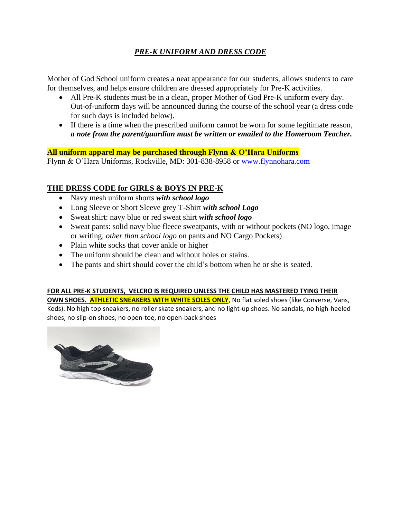# *PRE-K UNIFORM AND DRESS CODE*

Mother of God School uniform creates a neat appearance for our students, allows students to care for themselves, and helps ensure children are dressed appropriately for Pre-K activities.

- All Pre-K students must be in a clean, proper Mother of God Pre-K uniform every day. Out-of-uniform days will be announced during the course of the school year (a dress code for such days is included below).
- If there is a time when the prescribed uniform cannot be worn for some legitimate reason, *a note from the parent/guardian must be written or emailed to the Homeroom Teacher.*

**All uniform apparel may be purchased through Flynn & O'Hara Uniforms**  Flynn & O'Hara Uniforms, Rockville, MD: 301-838-8958 or [www.flynnohara.com](http://www.flynnohara.com/)

## **THE DRESS CODE for GIRLS & BOYS IN PRE-K**

- Navy mesh uniform shorts *with school logo*
- Long Sleeve or Short Sleeve grey T-Shirt *with school Logo*
- Sweat shirt: navy blue or red sweat shirt *with school logo*
- Sweat pants: solid navy blue fleece sweatpants, with or without pockets (NO logo, image or writing, *other than school logo* on pants and NO Cargo Pockets)
- Plain white socks that cover ankle or higher
- The uniform should be clean and without holes or stains.
- The pants and shirt should cover the child's bottom when he or she is seated.

## **FOR ALL PRE-K STUDENTS, VELCRO IS REQUIRED UNLESS THE CHILD HAS MASTERED TYING THEIR**

**OWN SHOES. ATHLETIC SNEAKERS WITH WHITE SOLES ONLY, No flat soled shoes (like Converse, Vans,** Keds). No high top sneakers, no roller skate sneakers, and no light-up shoes. No sandals, no high-heeled shoes, no slip-on shoes, no open-toe, no open-back shoes